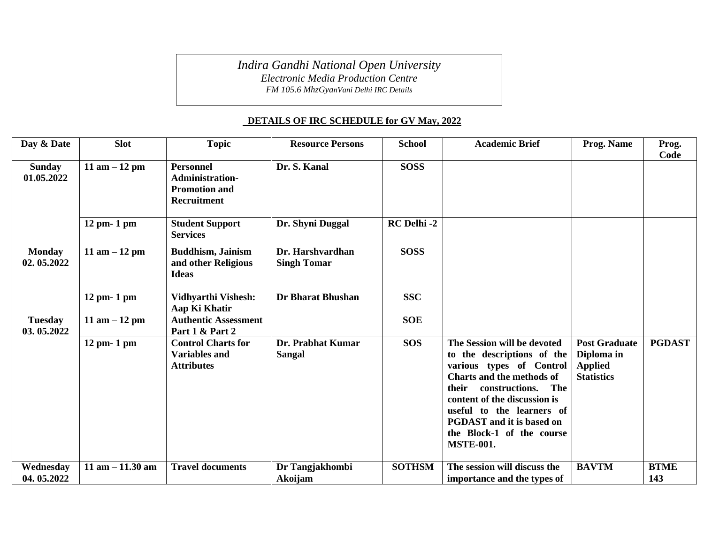*Indira Gandhi National Open University*

*Electronic Media Production Centre*

*FM 105.6 MhzGyanVani Delhi IRC Details*

## **DETAILS OF IRC SCHEDULE for GV May, 2022**

| Day & Date                   | <b>Slot</b>         | <b>Topic</b>                                                                      | <b>Resource Persons</b>                | <b>School</b> | <b>Academic Brief</b>                                                                                                                                                                                                                                                                                         | Prog. Name                                                                | Prog.<br>Code      |
|------------------------------|---------------------|-----------------------------------------------------------------------------------|----------------------------------------|---------------|---------------------------------------------------------------------------------------------------------------------------------------------------------------------------------------------------------------------------------------------------------------------------------------------------------------|---------------------------------------------------------------------------|--------------------|
| <b>Sunday</b><br>01.05.2022  | 11 am $-12$ pm      | <b>Personnel</b><br><b>Administration-</b><br><b>Promotion and</b><br>Recruitment | Dr. S. Kanal                           | <b>SOSS</b>   |                                                                                                                                                                                                                                                                                                               |                                                                           |                    |
|                              | $12$ pm- $1$ pm     | <b>Student Support</b><br><b>Services</b>                                         | Dr. Shyni Duggal                       | RC Delhi-2    |                                                                                                                                                                                                                                                                                                               |                                                                           |                    |
| <b>Monday</b><br>02.05.2022  | 11 am $-12$ pm      | <b>Buddhism, Jainism</b><br>and other Religious<br><b>Ideas</b>                   | Dr. Harshvardhan<br><b>Singh Tomar</b> | <b>SOSS</b>   |                                                                                                                                                                                                                                                                                                               |                                                                           |                    |
|                              | 12 pm- 1 pm         | <b>Vidhyarthi Vishesh:</b><br>Aap Ki Khatir                                       | <b>Dr Bharat Bhushan</b>               | <b>SSC</b>    |                                                                                                                                                                                                                                                                                                               |                                                                           |                    |
| <b>Tuesday</b><br>03.05.2022 | 11 am $-12$ pm      | <b>Authentic Assessment</b><br>Part 1 & Part 2                                    |                                        | <b>SOE</b>    |                                                                                                                                                                                                                                                                                                               |                                                                           |                    |
|                              | $12$ pm- $1$ pm     | <b>Control Charts for</b><br><b>Variables and</b><br><b>Attributes</b>            | Dr. Prabhat Kumar<br><b>Sangal</b>     | <b>SOS</b>    | The Session will be devoted<br>to the descriptions of the<br>various types of Control<br><b>Charts and the methods of</b><br>constructions.<br>The<br>their<br>content of the discussion is<br>useful to the learners of<br><b>PGDAST</b> and it is based on<br>the Block-1 of the course<br><b>MSTE-001.</b> | <b>Post Graduate</b><br>Diploma in<br><b>Applied</b><br><b>Statistics</b> | <b>PGDAST</b>      |
| Wednesday<br>04.05.2022      | $11$ am $-11.30$ am | <b>Travel documents</b>                                                           | Dr Tangjakhombi<br>Akoijam             | <b>SOTHSM</b> | The session will discuss the<br>importance and the types of                                                                                                                                                                                                                                                   | <b>BAVTM</b>                                                              | <b>BTME</b><br>143 |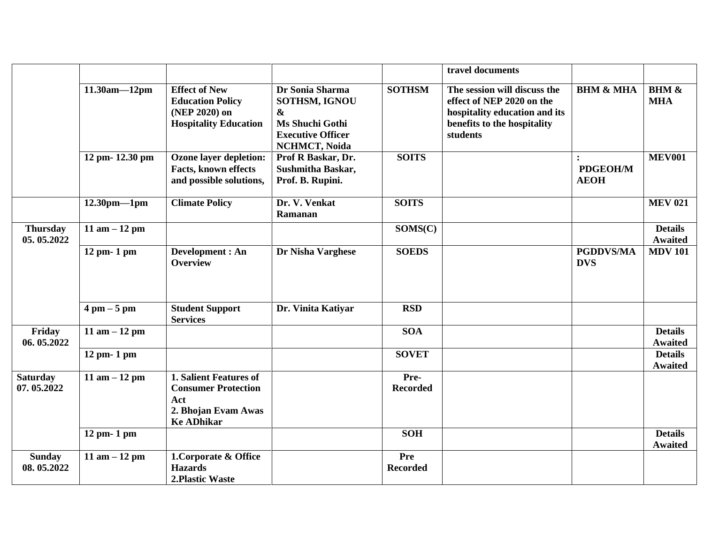|                               |                               |                                                                                                                |                                                                                                                              |                               | travel documents                                                                                                                      |                                           |                                  |
|-------------------------------|-------------------------------|----------------------------------------------------------------------------------------------------------------|------------------------------------------------------------------------------------------------------------------------------|-------------------------------|---------------------------------------------------------------------------------------------------------------------------------------|-------------------------------------------|----------------------------------|
|                               | $11.30am - 12pm$              | <b>Effect of New</b><br><b>Education Policy</b><br>(NEP 2020) on<br><b>Hospitality Education</b>               | Dr Sonia Sharma<br>SOTHSM, IGNOU<br>$\boldsymbol{\&}$<br>Ms Shuchi Gothi<br><b>Executive Officer</b><br><b>NCHMCT, Noida</b> | <b>SOTHSM</b>                 | The session will discuss the<br>effect of NEP 2020 on the<br>hospitality education and its<br>benefits to the hospitality<br>students | <b>BHM &amp; MHA</b>                      | <b>BHM &amp;</b><br><b>MHA</b>   |
|                               | 12 pm- 12.30 pm               | <b>Ozone layer depletion:</b><br>Facts, known effects<br>and possible solutions,                               | Prof R Baskar, Dr.<br><b>Sushmitha Baskar,</b><br>Prof. B. Rupini.                                                           | <b>SOITS</b>                  |                                                                                                                                       | $\cdot$<br><b>PDGEOH/M</b><br><b>AEOH</b> | <b>MEV001</b>                    |
|                               | $12.30$ pm-1pm                | <b>Climate Policy</b>                                                                                          | Dr. V. Venkat<br>Ramanan                                                                                                     | <b>SOITS</b>                  |                                                                                                                                       |                                           | <b>MEV 021</b>                   |
| <b>Thursday</b><br>05.05.2022 | 11 am $-12$ pm                |                                                                                                                |                                                                                                                              | SOMS(C)                       |                                                                                                                                       |                                           | <b>Details</b><br><b>Awaited</b> |
|                               | $12$ pm- $1$ pm               | Development : An<br><b>Overview</b>                                                                            | Dr Nisha Varghese                                                                                                            | <b>SOEDS</b>                  |                                                                                                                                       | <b>PGDDVS/MA</b><br><b>DVS</b>            | <b>MDV 101</b>                   |
|                               | $4 \text{ pm} - 5 \text{ pm}$ | <b>Student Support</b><br><b>Services</b>                                                                      | Dr. Vinita Katiyar                                                                                                           | <b>RSD</b>                    |                                                                                                                                       |                                           |                                  |
| Friday<br>06.05.2022          | 11 am $-12$ pm                |                                                                                                                |                                                                                                                              | SOA                           |                                                                                                                                       |                                           | <b>Details</b><br><b>Awaited</b> |
|                               | $12$ pm- $1$ pm               |                                                                                                                |                                                                                                                              | <b>SOVET</b>                  |                                                                                                                                       |                                           | <b>Details</b><br><b>Awaited</b> |
| <b>Saturday</b><br>07.05.2022 | 11 am $-12$ pm                | <b>1. Salient Features of</b><br><b>Consumer Protection</b><br>Act<br>2. Bhojan Evam Awas<br><b>Ke ADhikar</b> |                                                                                                                              | Pre-<br><b>Recorded</b>       |                                                                                                                                       |                                           |                                  |
|                               | 12 pm- 1 pm                   |                                                                                                                |                                                                                                                              | <b>SOH</b>                    |                                                                                                                                       |                                           | <b>Details</b><br><b>Awaited</b> |
| <b>Sunday</b><br>08.05.2022   | $11$ am $-12$ pm              | 1. Corporate & Office<br><b>Hazards</b><br>2. Plastic Waste                                                    |                                                                                                                              | <b>Pre</b><br><b>Recorded</b> |                                                                                                                                       |                                           |                                  |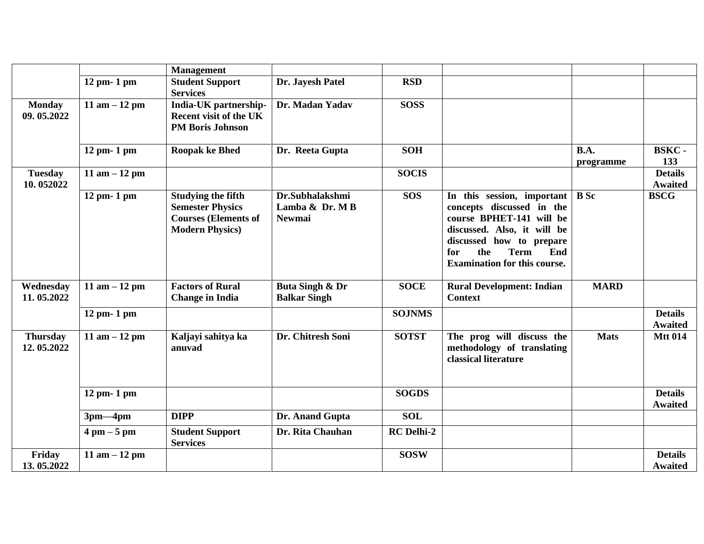|                               |                               | <b>Management</b>                                                                                             |                                                    |                   |                                                                                                                                                                                                                           |                   |                                  |
|-------------------------------|-------------------------------|---------------------------------------------------------------------------------------------------------------|----------------------------------------------------|-------------------|---------------------------------------------------------------------------------------------------------------------------------------------------------------------------------------------------------------------------|-------------------|----------------------------------|
|                               | $12$ pm- $1$ pm               | <b>Student Support</b><br><b>Services</b>                                                                     | Dr. Jayesh Patel                                   | <b>RSD</b>        |                                                                                                                                                                                                                           |                   |                                  |
| <b>Monday</b><br>09.05.2022   | 11 am $-12$ pm                | India-UK partnership-<br><b>Recent visit of the UK</b><br><b>PM Boris Johnson</b>                             | Dr. Madan Yadav                                    | <b>SOSS</b>       |                                                                                                                                                                                                                           |                   |                                  |
|                               | 12 pm- 1 pm                   | <b>Roopak ke Bhed</b>                                                                                         | Dr. Reeta Gupta                                    | <b>SOH</b>        |                                                                                                                                                                                                                           | B.A.<br>programme | <b>BSKC-</b><br>133              |
| <b>Tuesday</b><br>10.052022   | 11 am $-12$ pm                |                                                                                                               |                                                    | <b>SOCIS</b>      |                                                                                                                                                                                                                           |                   | <b>Details</b><br><b>Awaited</b> |
|                               | 12 pm- 1 pm                   | <b>Studying the fifth</b><br><b>Semester Physics</b><br><b>Courses (Elements of</b><br><b>Modern Physics)</b> | Dr.Subhalakshmi<br>Lamba & Dr. MB<br><b>Newmai</b> | <b>SOS</b>        | In this session, important<br>concepts discussed in the<br>course BPHET-141 will be<br>discussed. Also, it will be<br>discussed how to prepare<br>the<br>for<br><b>Term</b><br>End<br><b>Examination for this course.</b> | <b>B</b> Sc       | <b>BSCG</b>                      |
| Wednesday<br>11.05.2022       | 11 am $-12$ pm                | <b>Factors of Rural</b><br><b>Change in India</b>                                                             | Buta Singh & Dr<br><b>Balkar Singh</b>             | <b>SOCE</b>       | <b>Rural Development: Indian</b><br><b>Context</b>                                                                                                                                                                        | <b>MARD</b>       |                                  |
|                               | 12 pm- 1 pm                   |                                                                                                               |                                                    | <b>SOJNMS</b>     |                                                                                                                                                                                                                           |                   | <b>Details</b><br><b>Awaited</b> |
| <b>Thursday</b><br>12.05.2022 | 11 am $-12$ pm                | Kaljayi sahitya ka<br>anuvad                                                                                  | Dr. Chitresh Soni                                  | <b>SOTST</b>      | The prog will discuss the<br>methodology of translating<br>classical literature                                                                                                                                           | <b>Mats</b>       | <b>Mtt 014</b>                   |
|                               | $12$ pm- $1$ pm               |                                                                                                               |                                                    | <b>SOGDS</b>      |                                                                                                                                                                                                                           |                   | <b>Details</b><br><b>Awaited</b> |
|                               | $3pm-4pm$                     | <b>DIPP</b>                                                                                                   | Dr. Anand Gupta                                    | <b>SOL</b>        |                                                                                                                                                                                                                           |                   |                                  |
|                               | $4 \text{ pm} - 5 \text{ pm}$ | <b>Student Support</b><br><b>Services</b>                                                                     | Dr. Rita Chauhan                                   | <b>RC</b> Delhi-2 |                                                                                                                                                                                                                           |                   |                                  |
| Friday<br>13.05.2022          | 11 am $-12$ pm                |                                                                                                               |                                                    | <b>SOSW</b>       |                                                                                                                                                                                                                           |                   | <b>Details</b><br><b>Awaited</b> |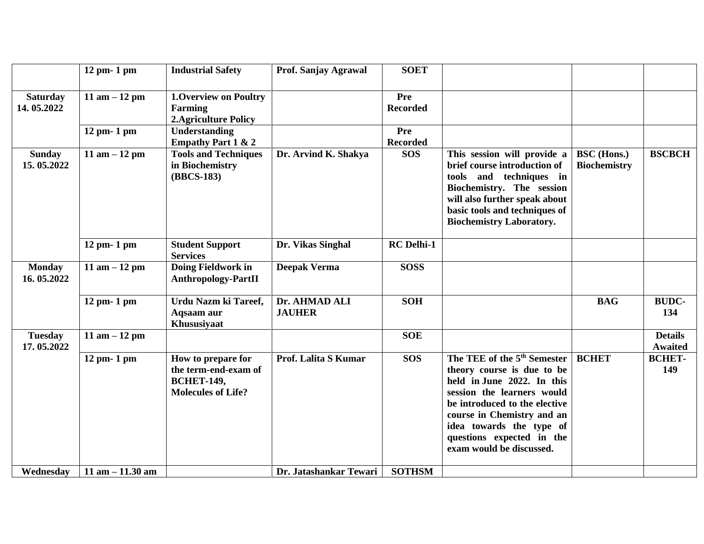|                               | 12 pm- 1 pm         | <b>Industrial Safety</b>                                                                     | Prof. Sanjay Agrawal           | <b>SOET</b>                   |                                                                                                                                                                                                                                                                                       |                                           |                                  |
|-------------------------------|---------------------|----------------------------------------------------------------------------------------------|--------------------------------|-------------------------------|---------------------------------------------------------------------------------------------------------------------------------------------------------------------------------------------------------------------------------------------------------------------------------------|-------------------------------------------|----------------------------------|
| <b>Saturday</b><br>14.05.2022 | 11 am $-12$ pm      | <b>1. Overview on Poultry</b><br><b>Farming</b><br><b>2. Agriculture Policy</b>              |                                | Pre<br><b>Recorded</b>        |                                                                                                                                                                                                                                                                                       |                                           |                                  |
|                               | 12 pm- 1 pm         | <b>Understanding</b><br><b>Empathy Part 1 &amp; 2</b>                                        |                                | <b>Pre</b><br><b>Recorded</b> |                                                                                                                                                                                                                                                                                       |                                           |                                  |
| <b>Sunday</b><br>15.05.2022   | 11 am $-12$ pm      | <b>Tools and Techniques</b><br>in Biochemistry<br>(BBCS-183)                                 | Dr. Arvind K. Shakya           | <b>SOS</b>                    | This session will provide a<br>brief course introduction of<br>and techniques in<br>tools<br>Biochemistry. The session<br>will also further speak about<br>basic tools and techniques of<br><b>Biochemistry Laboratory.</b>                                                           | <b>BSC</b> (Hons.)<br><b>Biochemistry</b> | <b>BSCBCH</b>                    |
|                               | 12 pm- 1 pm         | <b>Student Support</b><br><b>Services</b>                                                    | Dr. Vikas Singhal              | <b>RC</b> Delhi-1             |                                                                                                                                                                                                                                                                                       |                                           |                                  |
| <b>Monday</b><br>16.05.2022   | 11 am $-12$ pm      | Doing Fieldwork in<br><b>Anthropology-PartII</b>                                             | <b>Deepak Verma</b>            | <b>SOSS</b>                   |                                                                                                                                                                                                                                                                                       |                                           |                                  |
|                               | $12$ pm- $1$ pm     | Urdu Nazm ki Tareef,<br>Aqsaam aur<br>Khususiyaat                                            | Dr. AHMAD ALI<br><b>JAUHER</b> | <b>SOH</b>                    |                                                                                                                                                                                                                                                                                       | <b>BAG</b>                                | <b>BUDC-</b><br>134              |
| <b>Tuesday</b><br>17.05.2022  | 11 am $-12$ pm      |                                                                                              |                                | <b>SOE</b>                    |                                                                                                                                                                                                                                                                                       |                                           | <b>Details</b><br><b>Awaited</b> |
|                               | 12 pm- 1 pm         | How to prepare for<br>the term-end-exam of<br><b>BCHET-149,</b><br><b>Molecules of Life?</b> | Prof. Lalita S Kumar           | <b>SOS</b>                    | The TEE of the 5 <sup>th</sup> Semester<br>theory course is due to be<br>held in June 2022. In this<br>session the learners would<br>be introduced to the elective<br>course in Chemistry and an<br>idea towards the type of<br>questions expected in the<br>exam would be discussed. | <b>BCHET</b>                              | <b>BCHET-</b><br>149             |
| Wednesdav                     | $11$ am $-11.30$ am |                                                                                              | Dr. Jatashankar Tewari         | <b>SOTHSM</b>                 |                                                                                                                                                                                                                                                                                       |                                           |                                  |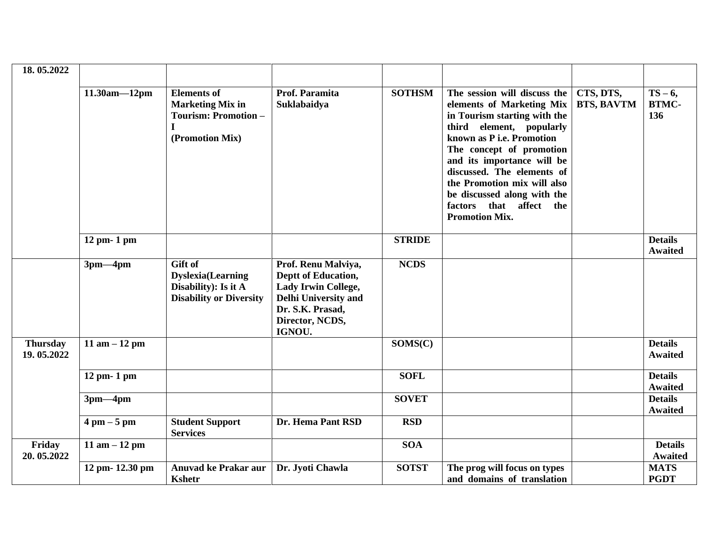| 18.05.2022                    |                               |                                                                                                 |                                                                                                                                            |               |                                                                                                                                                                                                                                                                                                                                                                    |                                |                                  |
|-------------------------------|-------------------------------|-------------------------------------------------------------------------------------------------|--------------------------------------------------------------------------------------------------------------------------------------------|---------------|--------------------------------------------------------------------------------------------------------------------------------------------------------------------------------------------------------------------------------------------------------------------------------------------------------------------------------------------------------------------|--------------------------------|----------------------------------|
|                               | $11.30am - 12pm$              | <b>Elements</b> of<br><b>Marketing Mix in</b><br><b>Tourism: Promotion -</b><br>(Promotion Mix) | Prof. Paramita<br>Suklabaidya                                                                                                              | <b>SOTHSM</b> | The session will discuss the<br>elements of Marketing Mix<br>in Tourism starting with the<br>element, popularly<br>third<br>known as P i.e. Promotion<br>The concept of promotion<br>and its importance will be<br>discussed. The elements of<br>the Promotion mix will also<br>be discussed along with the<br>that affect the<br>factors<br><b>Promotion Mix.</b> | CTS, DTS,<br><b>BTS, BAVTM</b> | $TS-6$ ,<br><b>BTMC-</b><br>136  |
|                               | $12$ pm- $1$ pm               |                                                                                                 |                                                                                                                                            | <b>STRIDE</b> |                                                                                                                                                                                                                                                                                                                                                                    |                                | <b>Details</b><br><b>Awaited</b> |
|                               | $3pm-4pm$                     | Gift of<br><b>Dyslexia</b> (Learning<br>Disability): Is it A<br><b>Disability or Diversity</b>  | Prof. Renu Malviya,<br>Deptt of Education,<br>Lady Irwin College,<br>Delhi University and<br>Dr. S.K. Prasad,<br>Director, NCDS,<br>IGNOU. | <b>NCDS</b>   |                                                                                                                                                                                                                                                                                                                                                                    |                                |                                  |
| <b>Thursday</b><br>19.05.2022 | 11 am $-12$ pm                |                                                                                                 |                                                                                                                                            | SOMS(C)       |                                                                                                                                                                                                                                                                                                                                                                    |                                | <b>Details</b><br><b>Awaited</b> |
|                               | $12$ pm- $1$ pm               |                                                                                                 |                                                                                                                                            | <b>SOFL</b>   |                                                                                                                                                                                                                                                                                                                                                                    |                                | <b>Details</b><br><b>Awaited</b> |
|                               | $3pm-4pm$                     |                                                                                                 |                                                                                                                                            | <b>SOVET</b>  |                                                                                                                                                                                                                                                                                                                                                                    |                                | <b>Details</b><br><b>Awaited</b> |
|                               | $4 \text{ pm} - 5 \text{ pm}$ | <b>Student Support</b><br><b>Services</b>                                                       | Dr. Hema Pant RSD                                                                                                                          | <b>RSD</b>    |                                                                                                                                                                                                                                                                                                                                                                    |                                |                                  |
| Friday<br>20.05.2022          | 11 am $-12$ pm                |                                                                                                 |                                                                                                                                            | <b>SOA</b>    |                                                                                                                                                                                                                                                                                                                                                                    |                                | <b>Details</b><br><b>Awaited</b> |
|                               | 12 pm- 12.30 pm               | <b>Anuvad ke Prakar aur</b><br><b>Kshetr</b>                                                    | Dr. Jyoti Chawla                                                                                                                           | <b>SOTST</b>  | The prog will focus on types<br>and domains of translation                                                                                                                                                                                                                                                                                                         |                                | <b>MATS</b><br><b>PGDT</b>       |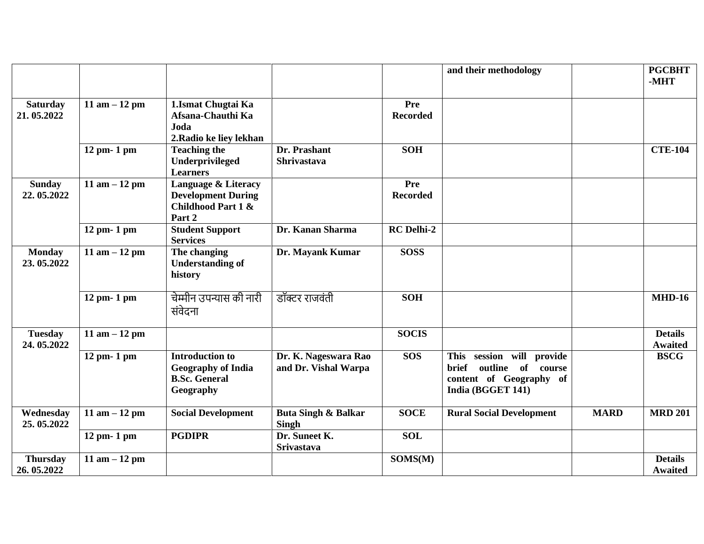|                               |                 |                                                                                          |                                                |                        | and their methodology                                                                                                |             | <b>PGCBHT</b><br>-MHT            |
|-------------------------------|-----------------|------------------------------------------------------------------------------------------|------------------------------------------------|------------------------|----------------------------------------------------------------------------------------------------------------------|-------------|----------------------------------|
| <b>Saturday</b><br>21.05.2022 | 11 am $-12$ pm  | 1.Ismat Chugtai Ka<br>Afsana-Chauthi Ka<br>Joda<br>2. Radio ke liey lekhan               |                                                | Pre<br><b>Recorded</b> |                                                                                                                      |             |                                  |
|                               | 12 pm- 1 pm     | <b>Teaching the</b><br>Underprivileged<br><b>Learners</b>                                | Dr. Prashant<br>Shrivastava                    | <b>SOH</b>             |                                                                                                                      |             | <b>CTE-104</b>                   |
| <b>Sunday</b><br>22.05.2022   | 11 am $-12$ pm  | Language & Literacy<br><b>Development During</b><br>Childhood Part 1 &<br>Part 2         |                                                | Pre<br><b>Recorded</b> |                                                                                                                      |             |                                  |
|                               | 12 pm- 1 pm     | <b>Student Support</b><br><b>Services</b>                                                | Dr. Kanan Sharma                               | <b>RC</b> Delhi-2      |                                                                                                                      |             |                                  |
| <b>Monday</b><br>23.05.2022   | 11 am $-12$ pm  | The changing<br><b>Understanding of</b><br>history                                       | Dr. Mayank Kumar                               | <b>SOSS</b>            |                                                                                                                      |             |                                  |
|                               | 12 pm- 1 pm     | चेम्मीन उपन्यास की नारी<br>संवेदना                                                       | डॉक्टर राजवंती                                 | <b>SOH</b>             |                                                                                                                      |             | <b>MHD-16</b>                    |
| <b>Tuesday</b><br>24.05.2022  | 11 am $-12$ pm  |                                                                                          |                                                | <b>SOCIS</b>           |                                                                                                                      |             | <b>Details</b><br><b>Awaited</b> |
|                               | 12 pm- 1 pm     | <b>Introduction to</b><br><b>Geography of India</b><br><b>B.Sc. General</b><br>Geography | Dr. K. Nageswara Rao<br>and Dr. Vishal Warpa   | <b>SOS</b>             | session will provide<br><b>This</b><br>brief<br>outline<br>of course<br>content of Geography of<br>India (BGGET 141) |             | <b>BSCG</b>                      |
| Wednesday<br>25.05.2022       | 11 am $-12$ pm  | <b>Social Development</b>                                                                | <b>Buta Singh &amp; Balkar</b><br><b>Singh</b> | <b>SOCE</b>            | <b>Rural Social Development</b>                                                                                      | <b>MARD</b> | <b>MRD 201</b>                   |
|                               | $12$ pm- $1$ pm | <b>PGDIPR</b>                                                                            | Dr. Suneet K.<br>Srivastava                    | <b>SOL</b>             |                                                                                                                      |             |                                  |
| <b>Thursday</b><br>26.05.2022 | 11 am $-12$ pm  |                                                                                          |                                                | SOMS(M)                |                                                                                                                      |             | <b>Details</b><br><b>Awaited</b> |